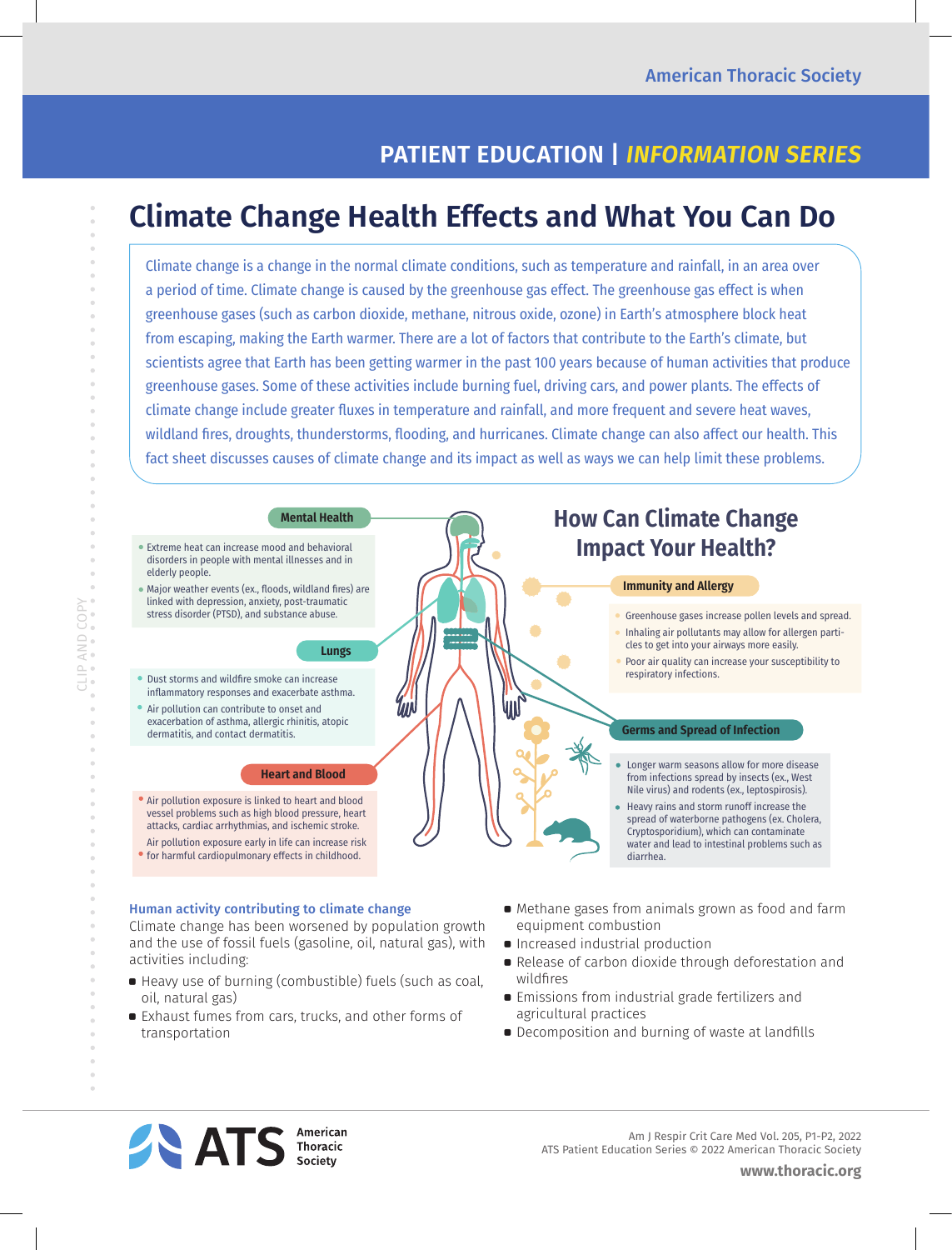# **PATIENT EDUCATION |** *INFORMATION SERIES*

# **Climate Change Health Effects and What You Can Do**

Climate change is a change in the normal climate conditions, such as temperature and rainfall, in an area over a period of time. Climate change is caused by the greenhouse gas effect. The greenhouse gas effect is when greenhouse gases (such as carbon dioxide, methane, nitrous oxide, ozone) in Earth's atmosphere block heat from escaping, making the Earth warmer. There are a lot of factors that contribute to the Earth's climate, but scientists agree that Earth has been getting warmer in the past 100 years because of human activities that produce greenhouse gases. Some of these activities include burning fuel, driving cars, and power plants. The effects of climate change include greater fluxes in temperature and rainfall, and more frequent and severe heat waves, wildland fires, droughts, thunderstorms, flooding, and hurricanes. Climate change can also affect our health. This fact sheet discusses causes of climate change and its impact as well as ways we can help limit these problems.



# Human activity contributing to climate change

CLIP AND COPY

AND COPY

 $\bar{\theta}$ 

Climate change has been worsened by population growth and the use of fossil fuels (gasoline, oil, natural gas), with activities including:

- a Heavy use of burning (combustible) fuels (such as coal, oil, natural gas)
- a Exhaust fumes from cars, trucks, and other forms of transportation
- **•** Methane gases from animals grown as food and farm equipment combustion
- **•** Increased industrial production
- Release of carbon dioxide through deforestation and wildfires
- **Emissions from industrial grade fertilizers and** agricultural practices
- **•** Decomposition and burning of waste at landfills